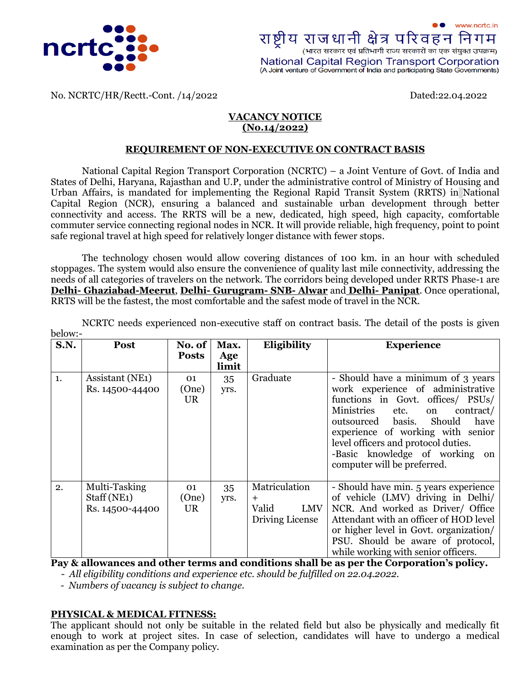



No. NCRTC/HR/Rectt.-Cont. /14/2022 Dated:22.04.2022

### **VACANCY NOTICE (No.14/2022)**

#### **REQUIREMENT OF NON-EXECUTIVE ON CONTRACT BASIS**

National Capital Region Transport Corporation (NCRTC) – a Joint Venture of Govt. of India and States of Delhi, Haryana, Rajasthan and U.P, under the administrative control of Ministry of Housing and Urban Affairs, is mandated for implementing the Regional Rapid Transit System (RRTS) in National Capital Region (NCR), ensuring a balanced and sustainable urban development through better connectivity and access. The RRTS will be a new, dedicated, high speed, high capacity, comfortable commuter service connecting regional nodes in NCR. It will provide reliable, high frequency, point to point safe regional travel at high speed for relatively longer distance with fewer stops.

The technology chosen would allow covering distances of 100 km. in an hour with scheduled stoppages. The system would also ensure the convenience of quality last mile connectivity, addressing the needs of all categories of travelers on the network. The corridors being developed under RRTS Phase-1 are **Delhi- Ghaziabad-Meerut**, **Delhi- [Gurugram-](http://ncrtc.in/delhi-alwar-corridor/) SNB- Alwar** and **Delhi- [Panipat](http://ncrtc.in/delhi-panipat-corridor/)**. Once operational, RRTS will be the fastest, the most comfortable and the safest mode of travel in the NCR.

NCRTC needs experienced non-executive staff on contract basis. The detail of the posts is given below:-

| <b>S.N.</b> | Post                                                         | No. of<br><b>Posts</b>   | Max.<br>Age<br>limit | Eligibility                                                    | <b>Experience</b>                                                                                                                                                                                                                                                                                                                         |
|-------------|--------------------------------------------------------------|--------------------------|----------------------|----------------------------------------------------------------|-------------------------------------------------------------------------------------------------------------------------------------------------------------------------------------------------------------------------------------------------------------------------------------------------------------------------------------------|
| 1.          | Assistant (NE <sub>1</sub> )<br>Rs. 14500-44400              | 01<br>(One)<br>UR.       | 35<br>yrs.           | Graduate                                                       | - Should have a minimum of 3 years<br>work experience of administrative<br>functions in Govt. offices/ PSUs/<br>Ministries<br>contract/<br>etc.<br>on<br>Should<br>have<br>outsourced basis.<br>experience of working with senior<br>level officers and protocol duties.<br>-Basic knowledge of working on<br>computer will be preferred. |
| 2.          | Multi-Tasking<br>Staff (NE <sub>1</sub> )<br>Rs. 14500-44400 | 01<br>(One)<br><b>UR</b> | 35<br>yrs.           | Matriculation<br>$+$<br><b>LMV</b><br>Valid<br>Driving License | - Should have min. 5 years experience<br>of vehicle (LMV) driving in Delhi/<br>NCR. And worked as Driver/ Office<br>Attendant with an officer of HOD level<br>or higher level in Govt. organization/<br>PSU. Should be aware of protocol,<br>while working with senior officers.                                                          |

**Pay & allowances and other terms and conditions shall be as per the Corporation's policy.**

- *All eligibility conditions and experience etc. should be fulfilled on 22.04.2022.*

*- Numbers of vacancy is subject to change.* 

### **PHYSICAL & MEDICAL FITNESS:**

The applicant should not only be suitable in the related field but also be physically and medically fit enough to work at project sites. In case of selection, candidates will have to undergo a medical examination as per the Company policy.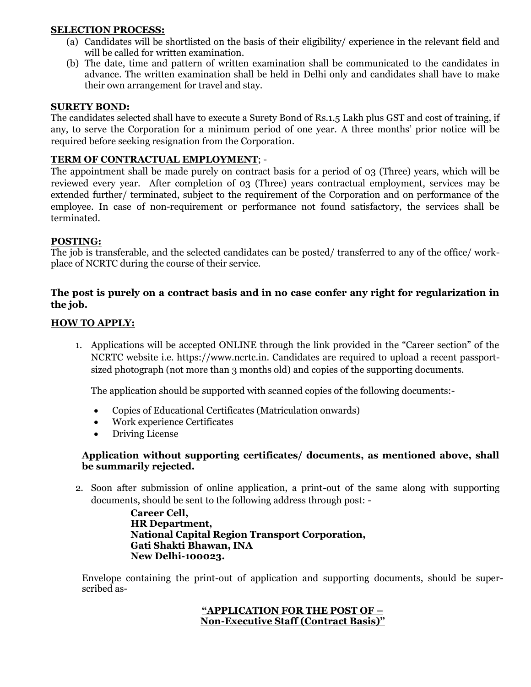## **SELECTION PROCESS:**

- (a) Candidates will be shortlisted on the basis of their eligibility/ experience in the relevant field and will be called for written examination.
- (b) The date, time and pattern of written examination shall be communicated to the candidates in advance. The written examination shall be held in Delhi only and candidates shall have to make their own arrangement for travel and stay.

### **SURETY BOND:**

The candidates selected shall have to execute a Surety Bond of Rs.1.5 Lakh plus GST and cost of training, if any, to serve the Corporation for a minimum period of one year. A three months' prior notice will be required before seeking resignation from the Corporation.

## **TERM OF CONTRACTUAL EMPLOYMENT**; -

The appointment shall be made purely on contract basis for a period of 03 (Three) years, which will be reviewed every year. After completion of 03 (Three) years contractual employment, services may be extended further/ terminated, subject to the requirement of the Corporation and on performance of the employee. In case of non-requirement or performance not found satisfactory, the services shall be terminated.

### **POSTING:**

The job is transferable, and the selected candidates can be posted/ transferred to any of the office/ workplace of NCRTC during the course of their service.

## **The post is purely on a contract basis and in no case confer any right for regularization in the job.**

### **HOW TO APPLY:**

1. Applications will be accepted ONLINE through the link provided in the "Career section" of the NCRTC website i.e. https://www.ncrtc.in. Candidates are required to upload a recent passportsized photograph (not more than 3 months old) and copies of the supporting documents.

The application should be supported with scanned copies of the following documents:-

- Copies of Educational Certificates (Matriculation onwards)
- Work experience Certificates
- Driving License

## **Application without supporting certificates/ documents, as mentioned above, shall be summarily rejected.**

2. Soon after submission of online application, a print-out of the same along with supporting documents, should be sent to the following address through post: -

> **Career Cell, HR Department, National Capital Region Transport Corporation, Gati Shakti Bhawan, INA New Delhi-100023.**

Envelope containing the print-out of application and supporting documents, should be superscribed as-

## **"APPLICATION FOR THE POST OF – Non-Executive Staff (Contract Basis)"**